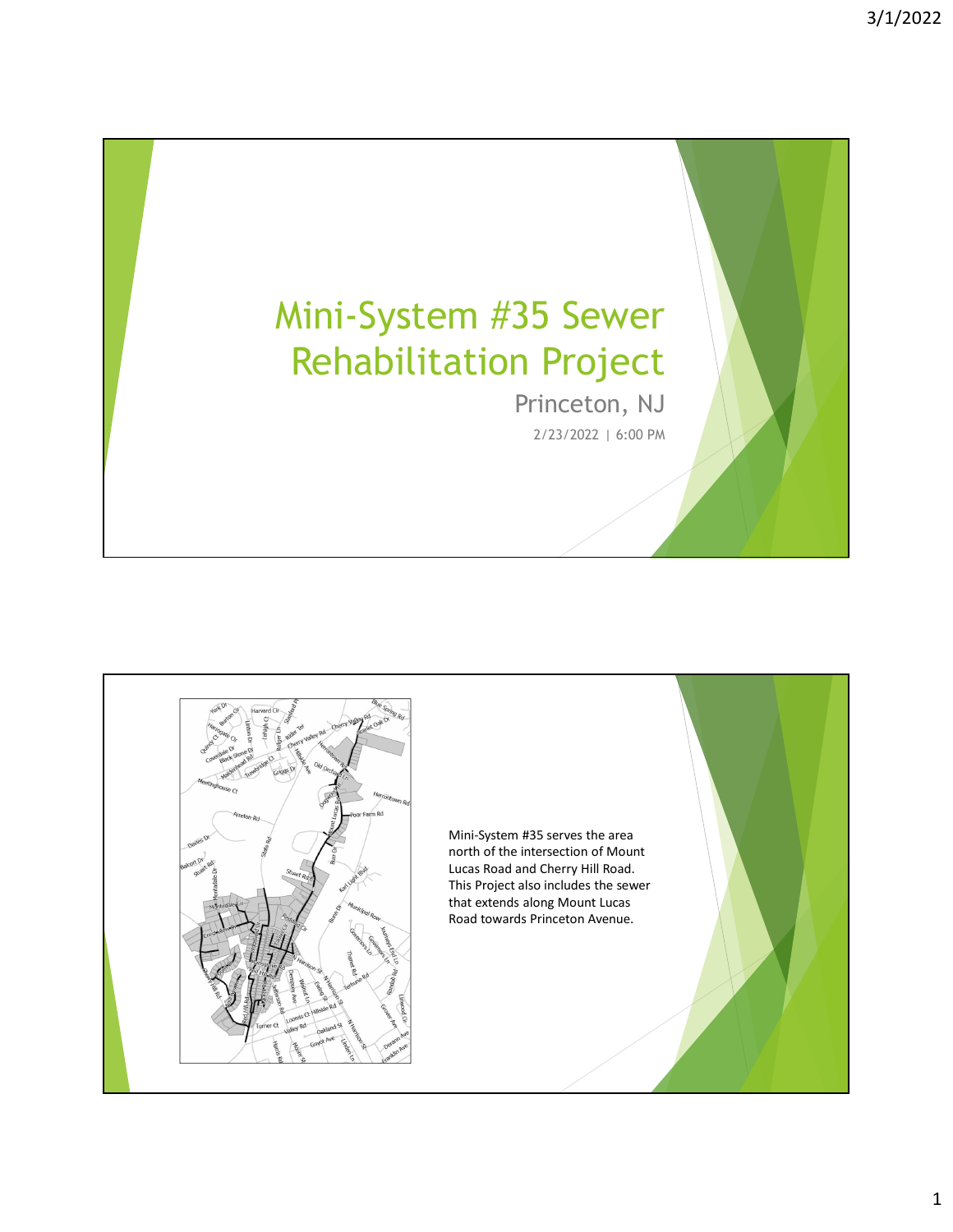## Mini-System #35 Sewer Rehabilitation Project

Princeton, NJ 2/23/2022 | 6:00 PM

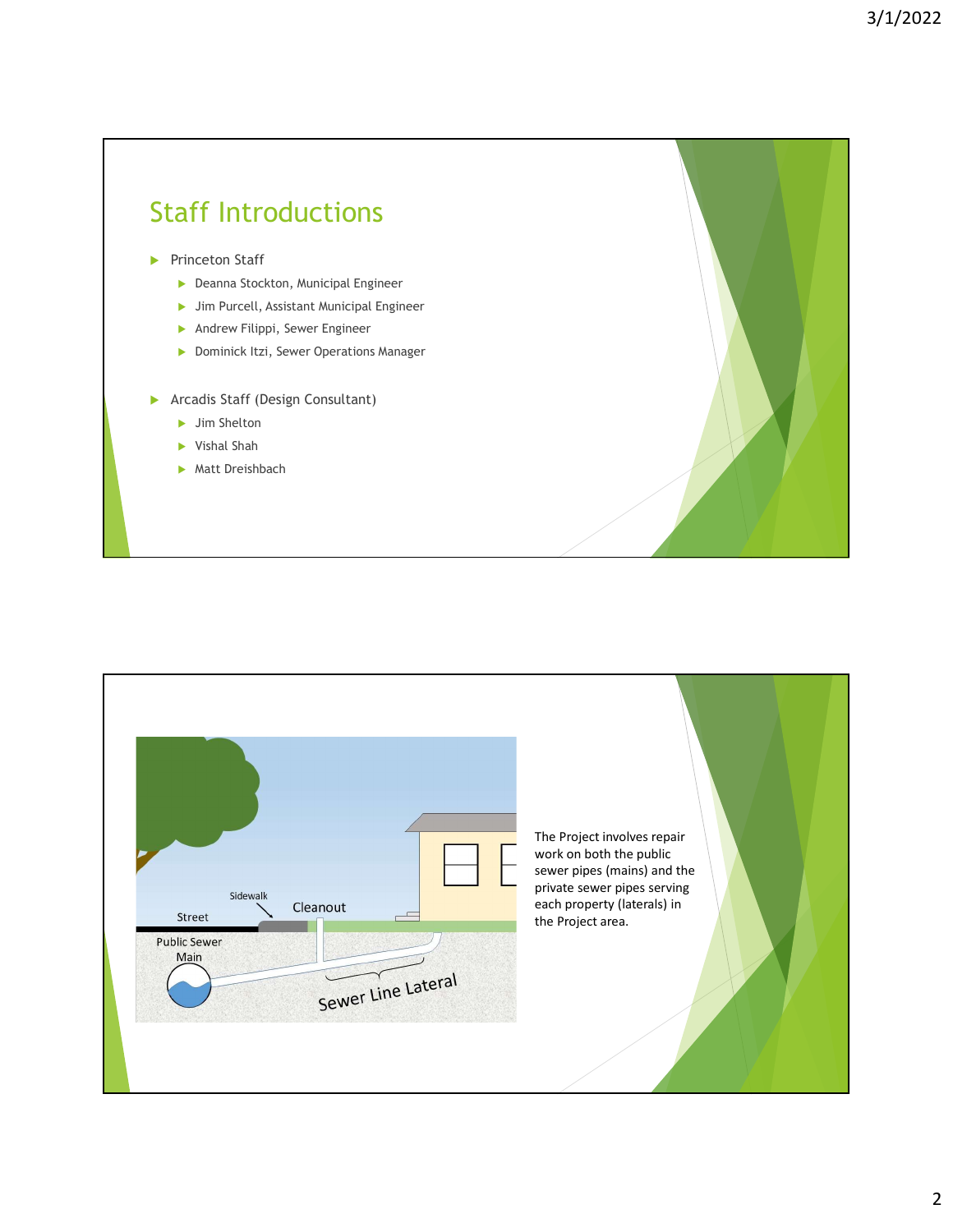## Staff Introductions Princeton Staff **Deanna Stockton, Municipal Engineer**  Jim Purcell, Assistant Municipal Engineer Andrew Filippi, Sewer Engineer **Dominick Itzi, Sewer Operations Manager Arcadis Staff (Design Consultant)** ▶ Jim Shelton Vishal Shah **Matt Dreishbach**

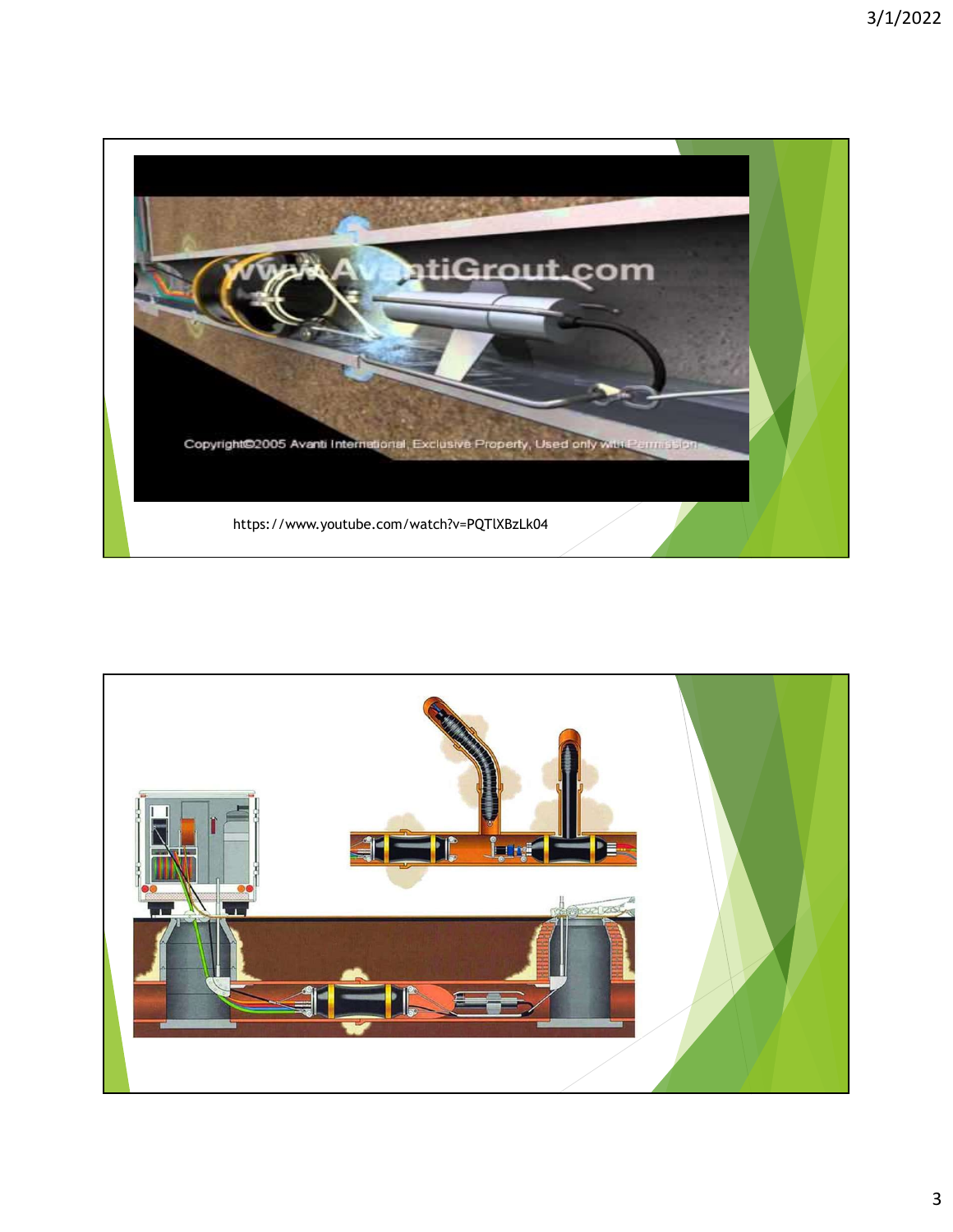

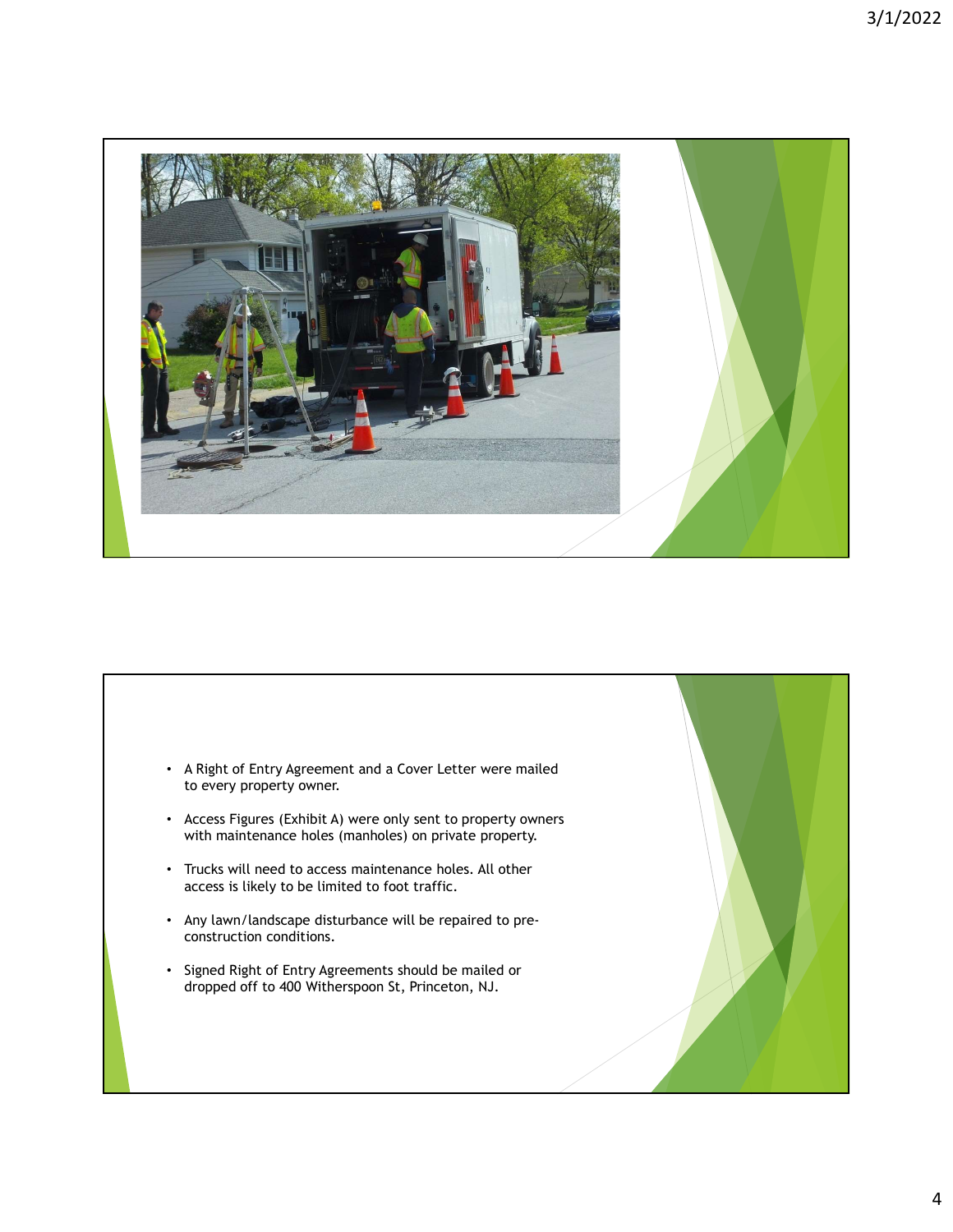